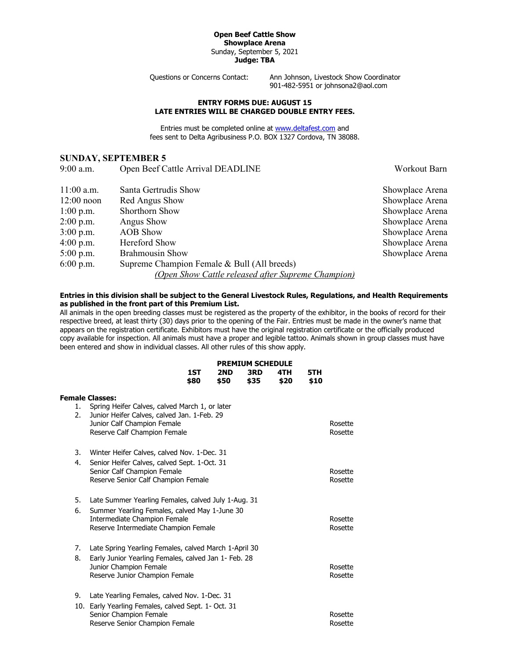## **Open Beef Cattle Show Showplace Arena** Sunday, September 5, 2021 **Judge: TBA**

Questions or Concerns Contact: Ann Johnson, Livestock Show Coordinator 901-482-5951 or johnsona2@aol.com

## **ENTRY FORMS DUE: AUGUST 15 LATE ENTRIES WILL BE CHARGED DOUBLE ENTRY FEES.**

Entries must be completed online at [www.deltafest.com](http://www.deltafest.com/) and fees sent to Delta Agribusiness P.O. BOX 1327 Cordova, TN 38088.

## **SUNDAY, SEPTEMBER 5**

9:00 a.m. Open Beef Cattle Arrival DEADLINE Workout Barn

| $11:00$ a.m. | Santa Gertrudis Show                               | Showplace Arena |
|--------------|----------------------------------------------------|-----------------|
| $12:00$ noon | Red Angus Show                                     | Showplace Arena |
| $1:00$ p.m.  | Shorthorn Show                                     | Showplace Arena |
| $2:00$ p.m.  | Angus Show                                         | Showplace Arena |
| $3:00$ p.m.  | <b>AOB</b> Show                                    | Showplace Arena |
| $4:00$ p.m.  | Hereford Show                                      | Showplace Arena |
| $5:00$ p.m.  | <b>Brahmousin Show</b>                             | Showplace Arena |
| $6:00$ p.m.  | Supreme Champion Female & Bull (All breeds)        |                 |
|              | (Open Show Cattle released after Supreme Champion) |                 |

## **Entries in this division shall be subject to the General Livestock Rules, Regulations, and Health Requirements as published in the front part of this Premium List.**

All animals in the open breeding classes must be registered as the property of the exhibitor, in the books of record for their respective breed, at least thirty (30) days prior to the opening of the Fair. Entries must be made in the owner's name that appears on the registration certificate. Exhibitors must have the original registration certificate or the officially produced copy available for inspection. All animals must have a proper and legible tattoo. Animals shown in group classes must have been entered and show in individual classes. All other rules of this show apply.

|          |                                                                                                                                                              | <b>PREMIUM SCHEDULE</b> |             |             |             |             |                    |
|----------|--------------------------------------------------------------------------------------------------------------------------------------------------------------|-------------------------|-------------|-------------|-------------|-------------|--------------------|
|          |                                                                                                                                                              | 1ST<br>\$80             | 2ND<br>\$50 | 3RD<br>\$35 | 4TH<br>\$20 | 5TH<br>\$10 |                    |
|          | <b>Female Classes:</b>                                                                                                                                       |                         |             |             |             |             |                    |
| 1.<br>2. | Spring Heifer Calves, calved March 1, or later<br>Junior Heifer Calves, calved Jan. 1-Feb. 29<br>Junior Calf Champion Female<br>Reserve Calf Champion Female |                         |             |             |             |             | Rosette<br>Rosette |
|          |                                                                                                                                                              |                         |             |             |             |             |                    |
| 3.       | Winter Heifer Calves, calved Nov. 1-Dec. 31                                                                                                                  |                         |             |             |             |             |                    |
| 4.       | Senior Heifer Calves, calved Sept. 1-Oct. 31<br>Senior Calf Champion Female<br>Reserve Senior Calf Champion Female                                           |                         |             |             |             |             | Rosette<br>Rosette |
| 5.       | Late Summer Yearling Females, calved July 1-Aug. 31                                                                                                          |                         |             |             |             |             |                    |
| 6.       | Summer Yearling Females, calved May 1-June 30<br>Intermediate Champion Female<br>Reserve Intermediate Champion Female                                        |                         |             |             |             |             | Rosette<br>Rosette |
| 7.       | Late Spring Yearling Females, calved March 1-April 30                                                                                                        |                         |             |             |             |             |                    |
| 8.       | Early Junior Yearling Females, calved Jan 1- Feb. 28<br>Junior Champion Female<br>Reserve Junior Champion Female                                             |                         |             |             |             |             | Rosette<br>Rosette |
| 9.       | Late Yearling Females, calved Nov. 1-Dec. 31                                                                                                                 |                         |             |             |             |             |                    |
| 10.      | Early Yearling Females, calved Sept. 1- Oct. 31<br>Senior Champion Female<br>Reserve Senior Champion Female                                                  |                         |             |             |             |             | Rosette<br>Rosette |